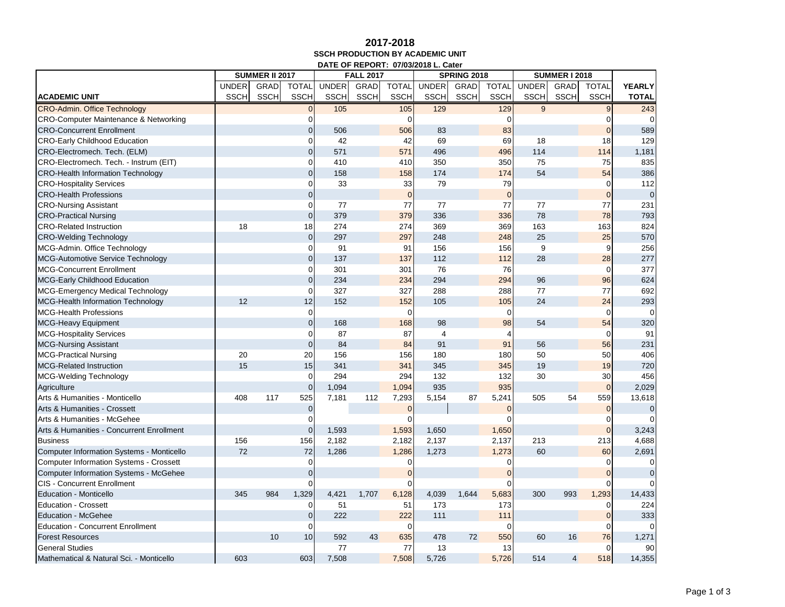## **2017-2018 SSCH PRODUCTION BY ACADEMIC UNIT DATE OF REPORT: 07/03/2018 L. Cater**

|                                                  |              | <b>SUMMER II 2017</b> |                |              | <b>FALL 2017</b> |                |                | <b>SPRING 2018</b> |              | <b>SUMMER I 2018</b> |             |                |               |
|--------------------------------------------------|--------------|-----------------------|----------------|--------------|------------------|----------------|----------------|--------------------|--------------|----------------------|-------------|----------------|---------------|
|                                                  | <b>UNDER</b> | GRAD                  | <b>TOTAL</b>   | <b>UNDER</b> | GRAD             | <b>TOTAL</b>   | <b>UNDER</b>   | GRAD               | <b>TOTAL</b> | <b>UNDER</b>         | <b>GRAD</b> | <b>TOTAL</b>   | <b>YEARLY</b> |
| <b>ACADEMIC UNIT</b>                             | <b>SSCH</b>  | <b>SSCH</b>           | <b>SSCH</b>    | <b>SSCH</b>  | <b>SSCH</b>      | <b>SSCH</b>    | <b>SSCH</b>    | <b>SSCH</b>        | <b>SSCH</b>  | <b>SSCH</b>          | <b>SSCH</b> | <b>SSCH</b>    | <b>TOTAL</b>  |
| <b>CRO-Admin. Office Technology</b>              |              |                       | $\overline{0}$ | 105          |                  | 105            | 129            |                    | 129          | 9                    |             | 9              | 243           |
| <b>CRO-Computer Maintenance &amp; Networking</b> |              |                       | $\Omega$       |              |                  | 0              |                |                    | U            |                      |             | 0              | $\Omega$      |
| <b>CRO-Concurrent Enrollment</b>                 |              |                       | $\mathbf 0$    | 506          |                  | 506            | 83             |                    | 83           |                      |             | $\Omega$       | 589           |
| <b>CRO-Early Childhood Education</b>             |              |                       | $\mathbf 0$    | 42           |                  | 42             | 69             |                    | 69           | 18                   |             | 18             | 129           |
| CRO-Electromech. Tech. (ELM)                     |              |                       | $\overline{0}$ | 571          |                  | 571            | 496            |                    | 496          | 114                  |             | 114            | 1,181         |
| CRO-Electromech. Tech. - Instrum (EIT)           |              |                       | $\mathbf{O}$   | 410          |                  | 410            | 350            |                    | 350          | 75                   |             | 75             | 835           |
| <b>CRO-Health Information Technology</b>         |              |                       | $\mathbf 0$    | 158          |                  | 158            | 174            |                    | 174          | 54                   |             | 54             | 386           |
| <b>CRO-Hospitality Services</b>                  |              |                       | $\mathbf 0$    | 33           |                  | 33             | 79             |                    | 79           |                      |             | $\mathbf 0$    | 112           |
| <b>CRO-Health Professions</b>                    |              |                       | $\mathbf{0}$   |              |                  | $\overline{0}$ |                |                    | $\Omega$     |                      |             | $\overline{0}$ | $\mathbf 0$   |
| <b>CRO-Nursing Assistant</b>                     |              |                       | $\Omega$       | 77           |                  | 77             | 77             |                    | 77           | 77                   |             | 77             | 231           |
| <b>CRO-Practical Nursing</b>                     |              |                       | $\overline{0}$ | 379          |                  | 379            | 336            |                    | 336          | 78                   |             | 78             | 793           |
| <b>CRO-Related Instruction</b>                   | 18           |                       | 18             | 274          |                  | 274            | 369            |                    | 369          | 163                  |             | 163            | 824           |
| <b>CRO-Welding Technology</b>                    |              |                       | $\mathbf 0$    | 297          |                  | 297            | 248            |                    | 248          | 25                   |             | 25             | 570           |
| MCG-Admin. Office Technology                     |              |                       | $\overline{0}$ | 91           |                  | 91             | 156            |                    | 156          | 9                    |             | 9              | 256           |
| <b>MCG-Automotive Service Technology</b>         |              |                       | $\mathbf 0$    | 137          |                  | 137            | 112            |                    | 112          | 28                   |             | 28             | 277           |
| <b>MCG-Concurrent Enrollment</b>                 |              |                       | $\mathbf{O}$   | 301          |                  | 301            | 76             |                    | 76           |                      |             | $\mathbf 0$    | 377           |
| <b>MCG-Early Childhood Education</b>             |              |                       | $\pmb{0}$      | 234          |                  | 234            | 294            |                    | 294          | 96                   |             | 96             | 624           |
| MCG-Emergency Medical Technology                 |              |                       | $\mathbf 0$    | 327          |                  | 327            | 288            |                    | 288          | 77                   |             | 77             | 692           |
| <b>MCG-Health Information Technology</b>         | 12           |                       | 12             | 152          |                  | 152            | 105            |                    | 105          | 24                   |             | 24             | 293           |
| <b>MCG-Health Professions</b>                    |              |                       | $\mathbf{O}$   |              |                  | $\Omega$       |                |                    | $\Omega$     |                      |             | $\mathbf 0$    | $\Omega$      |
| <b>MCG-Heavy Equipment</b>                       |              |                       | $\overline{0}$ | 168          |                  | 168            | 98             |                    | 98           | 54                   |             | 54             | 320           |
| <b>MCG-Hospitality Services</b>                  |              |                       | $\mathbf 0$    | 87           |                  | 87             | $\overline{4}$ |                    |              |                      |             | $\Omega$       | 91            |
| <b>MCG-Nursing Assistant</b>                     |              |                       | $\mathbf{0}$   | 84           |                  | 84             | 91             |                    | 91           | 56                   |             | 56             | 231           |
| <b>MCG-Practical Nursing</b>                     | 20           |                       | 20             | 156          |                  | 156            | 180            |                    | 180          | 50                   |             | 50             | 406           |
| <b>MCG-Related Instruction</b>                   | 15           |                       | 15             | 341          |                  | 341            | 345            |                    | 345          | 19                   |             | 19             | 720           |
| <b>MCG-Welding Technology</b>                    |              |                       | $\mathbf{O}$   | 294          |                  | 294            | 132            |                    | 132          | 30                   |             | 30             | 456           |
| Agriculture                                      |              |                       | $\mathbf 0$    | 1,094        |                  | 1,094          | 935            |                    | 935          |                      |             | $\mathbf{0}$   | 2,029         |
| Arts & Humanities - Monticello                   | 408          | 117                   | 525            | 7,181        | 112              | 7,293          | 5,154          | 87                 | 5,241        | 505                  | 54          | 559            | 13,618        |
| Arts & Humanities - Crossett                     |              |                       | $\mathbf 0$    |              |                  | $\overline{0}$ |                |                    | $\Omega$     |                      |             | $\mathbf{0}$   | $\mathbf{0}$  |
| Arts & Humanities - McGehee                      |              |                       | 0              |              |                  | $\Omega$       |                |                    |              |                      |             | 0              | $\Omega$      |
| Arts & Humanities - Concurrent Enrollment        |              |                       | $\mathbf 0$    | 1,593        |                  | 1,593          | 1,650          |                    | 1,650        |                      |             | $\Omega$       | 3,243         |
| <b>Business</b>                                  | 156          |                       | 156            | 2,182        |                  | 2,182          | 2,137          |                    | 2,137        | 213                  |             | 213            | 4,688         |
| Computer Information Systems - Monticello        | 72           |                       | 72             | 1,286        |                  | 1,286          | 1,273          |                    | 1,273        | 60                   |             | 60             | 2,691         |
| <b>Computer Information Systems - Crossett</b>   |              |                       | $\Omega$       |              |                  | 0              |                |                    | 0            |                      |             | 0              | $\mathbf 0$   |
| Computer Information Systems - McGehee           |              |                       | $\mathbf{0}$   |              |                  |                |                |                    |              |                      |             |                | $\mathbf{0}$  |
| <b>CIS - Concurrent Enrollment</b>               |              |                       | $\Omega$       |              |                  | $\Omega$       |                |                    |              |                      |             | 0              | $\Omega$      |
| <b>Education - Monticello</b>                    | 345          | 984                   | 1,329          | 4,421        | 1,707            | 6,128          | 4,039          | 1,644              | 5,683        | 300                  | 993         | 1,293          | 14,433        |
| <b>Education - Crossett</b>                      |              |                       | $\overline{0}$ | 51           |                  | 51             | 173            |                    | 173          |                      |             | $\Omega$       | 224           |
| <b>Education - McGehee</b>                       |              |                       | $\mathbf 0$    | 222          |                  | 222            | 111            |                    | 111          |                      |             | $\mathbf{0}$   | 333           |
| <b>Education - Concurrent Enrollment</b>         |              |                       | $\mathbf 0$    |              |                  | 0              |                |                    |              |                      |             | 0              | $\Omega$      |
| <b>Forest Resources</b>                          |              | 10                    | 10             | 592          | 43               | 635            | 478            | 72                 | 550          | 60                   | 16          | 76             | 1,271         |
| <b>General Studies</b>                           |              |                       |                | 77           |                  | 77             | 13             |                    | 13           |                      |             | $\Omega$       | 90            |
| Mathematical & Natural Sci. - Monticello         | 603          |                       | 603            | 7,508        |                  | 7,508          | 5,726          |                    | 5,726        | 514                  | 4           | 518            | 14,355        |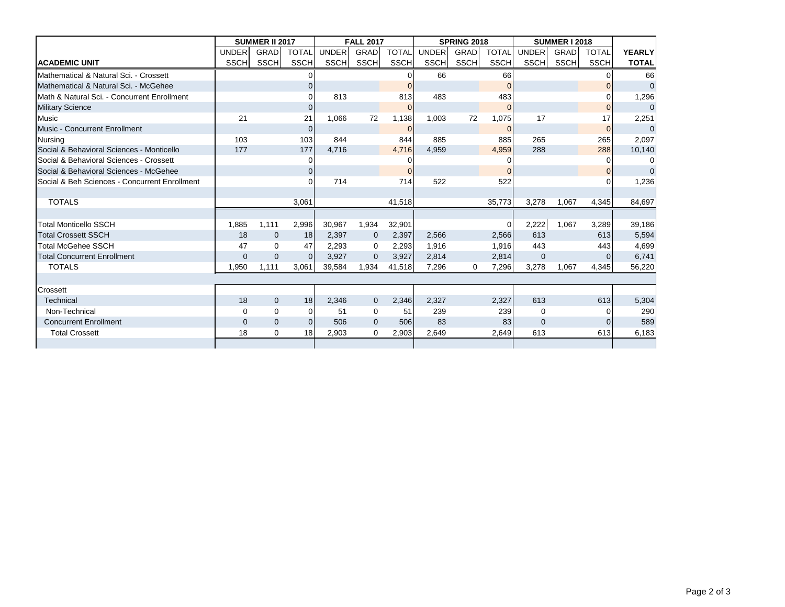|                                               |              | <b>SUMMER II 2017</b> |                 |              | <b>FALL 2017</b> |              |             | <b>SPRING 2018</b> |                | <b>SUMMER I 2018</b> |             |              |                |
|-----------------------------------------------|--------------|-----------------------|-----------------|--------------|------------------|--------------|-------------|--------------------|----------------|----------------------|-------------|--------------|----------------|
|                                               | <b>UNDER</b> | <b>GRAD</b>           | <b>TOTAL</b>    | <b>UNDER</b> | <b>GRAD</b>      | <b>TOTAL</b> | UNDER       | GRAD               | <b>TOTAL</b>   | <b>UNDER</b>         | <b>GRAD</b> | <b>TOTAL</b> | <b>YEARLY</b>  |
| <b>ACADEMIC UNIT</b>                          | <b>SSCH</b>  | SSCHI                 | SSCH            | <b>SSCH</b>  | SSCH             | <b>SSCH</b>  | <b>SSCH</b> | SSCH               | <b>SSCH</b>    | <b>SSCH</b>          | SSCH        | <b>SSCH</b>  | <b>TOTAL</b>   |
| Mathematical & Natural Sci. - Crossett        |              |                       |                 |              |                  |              | 66          |                    | 66             |                      |             |              | 66             |
| Mathematical & Natural Sci. - McGehee         |              |                       | $\Omega$        |              |                  | $\Omega$     |             |                    | $\Omega$       |                      |             |              | $\overline{0}$ |
| Math & Natural Sci. - Concurrent Enrollment   |              |                       |                 | 813          |                  | 813          | 483         |                    | 483            |                      |             |              | 1,296          |
| <b>Military Science</b>                       |              |                       | $\Omega$        |              |                  | $\Omega$     |             |                    | $\Omega$       |                      |             | $\Omega$     | $\mathbf 0$    |
| <b>Music</b>                                  | 21           |                       | 21              | 1.066        | 72               | 1,138        | 1,003       | 72                 | 1,075          | 17                   |             | 17           | 2,251          |
| <b>Music - Concurrent Enrollment</b>          |              |                       | $\overline{0}$  |              |                  | $\mathbf 0$  |             |                    | $\overline{0}$ |                      |             | $\Omega$     | $\overline{0}$ |
| <b>Nursing</b>                                | 103          |                       | 103             | 844          |                  | 844          | 885         |                    | 885            | 265                  |             | 265          | 2,097          |
| Social & Behavioral Sciences - Monticello     | 177          |                       | 177             | 4,716        |                  | 4,716        | 4,959       |                    | 4,959          | 288                  |             | 288          | 10,140         |
| Social & Behavioral Sciences - Crossett       |              |                       | $\Omega$        |              |                  |              |             |                    |                |                      |             | 0            | $\Omega$       |
| Social & Behavioral Sciences - McGehee        |              |                       | $\overline{0}$  |              |                  |              |             |                    | $\Omega$       |                      |             | $\Omega$     | $\overline{0}$ |
| Social & Beh Sciences - Concurrent Enrollment |              |                       |                 | 714          |                  | 714          | 522         |                    | 522            |                      |             |              | 1,236          |
|                                               |              |                       |                 |              |                  |              |             |                    |                |                      |             |              |                |
| <b>TOTALS</b>                                 |              |                       | 3.061           |              |                  | 41,518       |             |                    | 35,773         | 3,278                | 1.067       | 4,345        | 84.697         |
|                                               |              |                       |                 |              |                  |              |             |                    |                |                      |             |              |                |
| <b>Total Monticello SSCH</b>                  | 1.885        | 1.111                 | 2,996           | 30,967       | 1,934            | 32,901       |             |                    | $\Omega$       | 2,222                | 1,067       | 3,289        | 39,186         |
| <b>Total Crossett SSCH</b>                    | 18           | $\mathbf 0$           | 18 <sup>l</sup> | 2,397        | $\mathbf 0$      | 2,397        | 2,566       |                    | 2,566          | 613                  |             | 613          | 5,594          |
| Total McGehee SSCH                            | 47           | $\Omega$              | 47              | 2,293        | 0                | 2,293        | 1,916       |                    | 1,916          | 443                  |             | 443          | 4,699          |
| <b>Total Concurrent Enrollment</b>            | $\mathbf{0}$ | $\Omega$              | $\Omega$        | 3.927        | $\overline{0}$   | 3.927        | 2,814       |                    | 2,814          | $\mathbf 0$          |             | 0            | 6,741          |
| <b>TOTALS</b>                                 | 1,950        | 1,111                 | 3,061           | 39,584       | 1,934            | 41,518       | 7,296       | 0                  | 7,296          | 3,278                | 1,067       | 4,345        | 56,220         |
|                                               |              |                       |                 |              |                  |              |             |                    |                |                      |             |              |                |
| Crossett                                      |              |                       |                 |              |                  |              |             |                    |                |                      |             |              |                |
| <b>Technical</b>                              | 18           | $\mathbf{0}$          | 18 <sup>l</sup> | 2,346        | $\mathbf{0}$     | 2,346        | 2,327       |                    | 2,327          | 613                  |             | 613          | 5,304          |
| Non-Technical                                 | $\Omega$     | $\Omega$              | $\Omega$        | 51           | 0                | 51           | 239         |                    | 239            | $\Omega$             |             | 0            | 290            |
| <b>Concurrent Enrollment</b>                  | $\Omega$     | $\mathbf{0}$          | $\Omega$        | 506          | $\mathbf{0}$     | 506          | 83          |                    | 83             | $\mathbf{0}$         |             | 0            | 589            |
| <b>Total Crossett</b>                         | 18           | $\mathbf 0$           | 18 <sup>l</sup> | 2,903        | 0                | 2,903        | 2,649       |                    | 2,649          | 613                  |             | 613          | 6,183          |
|                                               |              |                       |                 |              |                  |              |             |                    |                |                      |             |              |                |